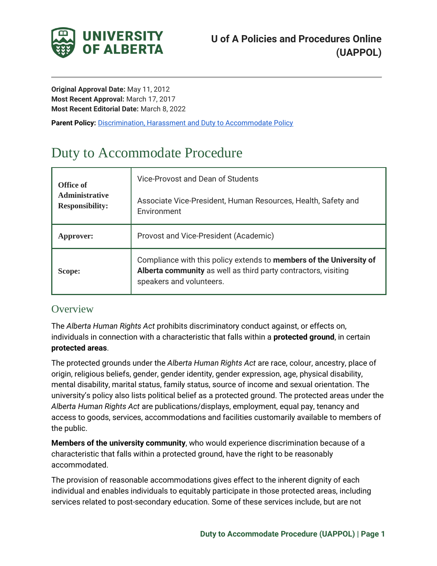

**Original Approval Date:** May 11, 2012 **Most Recent Approval:** March 17, 2017 **Most Recent Editorial Date:** March 8, 2022

**Parent Policy: [Discrimination, Harassment and Duty to Accommodate Policy](https://policiesonline.ualberta.ca/PoliciesProcedures/Policies/Discrimination-Harassment-and-Duty-to-Accommodate-Policy.pdf)** 

# <span id="page-0-0"></span>Duty to Accommodate Procedure

| Office of<br><b>Administrative</b><br><b>Responsibility:</b> | Vice-Provost and Dean of Students                                                                                                                                 |
|--------------------------------------------------------------|-------------------------------------------------------------------------------------------------------------------------------------------------------------------|
|                                                              | Associate Vice-President, Human Resources, Health, Safety and<br>Environment                                                                                      |
| Approver:                                                    | Provost and Vice-President (Academic)                                                                                                                             |
| Scope:                                                       | Compliance with this policy extends to members of the University of<br>Alberta community as well as third party contractors, visiting<br>speakers and volunteers. |

## **Overview**

The *Alberta Human Rights Act* prohibits discriminatory conduct against, or effects on, individuals in connection with a characteristic that falls within a **protected ground**, in certain **protected areas**.

The protected grounds under the *Alberta Human Rights Act* are race, colour, ancestry, place of origin, religious beliefs, gender, gender identity, gender expression, age, physical disability, mental disability, marital status, family status, source of income and sexual orientation. The university's policy also lists political belief as a protected ground. The protected areas under the *Alberta Human Rights Act* are publications/displays, employment, equal pay, tenancy and access to goods, services, accommodations and facilities customarily available to members of the public.

**Members of the university community**, who would experience discrimination because of a characteristic that falls within a protected ground, have the right to be reasonably accommodated.

The provision of reasonable accommodations gives effect to the inherent dignity of each individual and enables individuals to equitably participate in those protected areas, including services related to post-secondary education. Some of these services include, but are not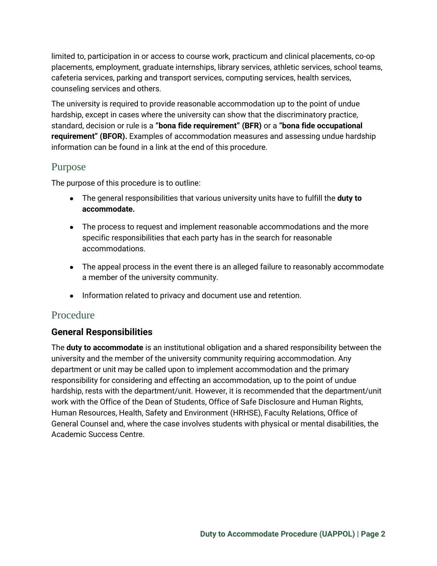limited to, participation in or access to course work, practicum and clinical placements, co-op placements, employment, graduate internships, library services, athletic services, school teams, cafeteria services, parking and transport services, computing services, health services, counseling services and others.

The university is required to provide reasonable accommodation up to the point of undue hardship, except in cases where the university can show that the discriminatory practice, standard, decision or rule is a **"bona fide requirement" (BFR)** or a **"bona fide occupational requirement" (BFOR).** Examples of accommodation measures and assessing undue hardship information can be found in a link at the end of this procedure.

## Purpose

The purpose of this procedure is to outline:

- The general responsibilities that various university units have to fulfill the **duty to accommodate.**
- The process to request and implement reasonable accommodations and the more specific responsibilities that each party has in the search for reasonable accommodations.
- The appeal process in the event there is an alleged failure to reasonably accommodate a member of the university community.
- Information related to privacy and document use and retention.

# Procedure

## **General Responsibilities**

The **duty to accommodate** is an institutional obligation and a shared responsibility between the university and the member of the university community requiring accommodation. Any department or unit may be called upon to implement accommodation and the primary responsibility for considering and effecting an accommodation, up to the point of undue hardship, rests with the department/unit. However, it is recommended that the department/unit work with the Office of the Dean of Students, Office of Safe Disclosure and Human Rights, Human Resources, Health, Safety and Environment (HRHSE), Faculty Relations, Office of General Counsel and, where the case involves students with physical or mental disabilities, the Academic Success Centre.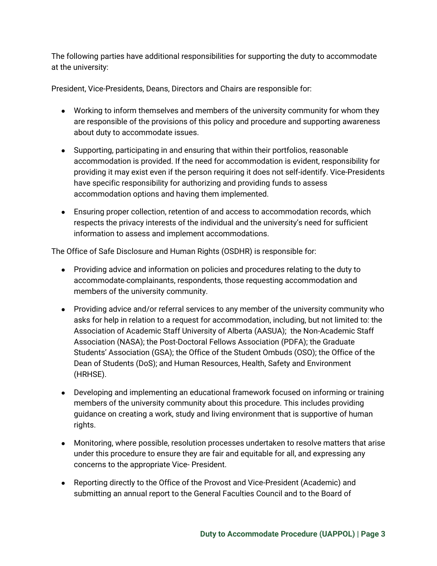The following parties have additional responsibilities for supporting the duty to accommodate at the university:

President, Vice-Presidents, Deans, Directors and Chairs are responsible for:

- Working to inform themselves and members of the university community for whom they are responsible of the provisions of this policy and procedure and supporting awareness about duty to accommodate issues.
- Supporting, participating in and ensuring that within their portfolios, reasonable accommodation is provided. If the need for accommodation is evident, responsibility for providing it may exist even if the person requiring it does not self-identify. Vice-Presidents have specific responsibility for authorizing and providing funds to assess accommodation options and having them implemented.
- Ensuring proper collection, retention of and access to accommodation records, which respects the privacy interests of the individual and the university's need for sufficient information to assess and implement accommodations.

The Office of Safe Disclosure and Human Rights (OSDHR) is responsible for:

- Providing advice and information on policies and procedures relating to the duty to accommodate complainants, respondents, those requesting accommodation and members of the university community.
- Providing advice and/or referral services to any member of the university community who asks for help in relation to a request for accommodation, including, but not limited to: the Association of Academic Staff University of Alberta (AASUA); the Non-Academic Staff Association (NASA); the Post-Doctoral Fellows Association (PDFA); the Graduate Students' Association (GSA); the Office of the Student Ombuds (OSO); the Office of the Dean of Students (DoS); and Human Resources, Health, Safety and Environment (HRHSE).
- Developing and implementing an educational framework focused on informing or training members of the university community about this procedure. This includes providing guidance on creating a work, study and living environment that is supportive of human rights.
- Monitoring, where possible, resolution processes undertaken to resolve matters that arise under this procedure to ensure they are fair and equitable for all, and expressing any concerns to the appropriate Vice- President.
- Reporting directly to the Office of the Provost and Vice-President (Academic) and submitting an annual report to the General Faculties Council and to the Board of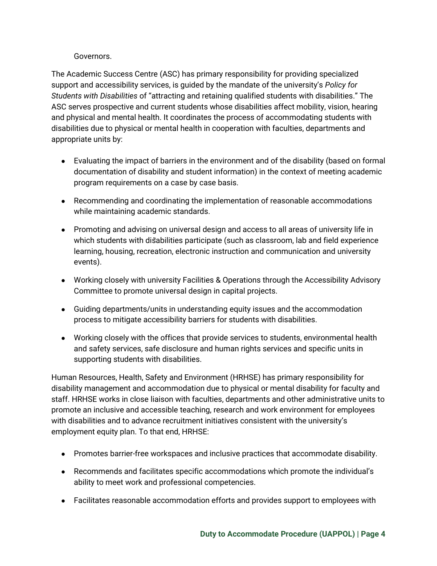#### Governors.

The Academic Success Centre (ASC) has primary responsibility for providing specialized support and accessibility services, is guided by the mandate of the university's *Policy for Students with Disabilities* of "attracting and retaining qualified students with disabilities." The ASC serves prospective and current students whose disabilities affect mobility, vision, hearing and physical and mental health. It coordinates the process of accommodating students with disabilities due to physical or mental health in cooperation with faculties, departments and appropriate units by:

- Evaluating the impact of barriers in the environment and of the disability (based on formal documentation of disability and student information) in the context of meeting academic program requirements on a case by case basis.
- Recommending and coordinating the implementation of reasonable accommodations while maintaining academic standards.
- Promoting and advising on universal design and access to all areas of university life in which students with disabilities participate (such as classroom, lab and field experience learning, housing, recreation, electronic instruction and communication and university events).
- Working closely with university Facilities & Operations through the Accessibility Advisory Committee to promote universal design in capital projects.
- Guiding departments/units in understanding equity issues and the accommodation process to mitigate accessibility barriers for students with disabilities.
- Working closely with the offices that provide services to students, environmental health and safety services, safe disclosure and human rights services and specific units in supporting students with disabilities.

Human Resources, Health, Safety and Environment (HRHSE) has primary responsibility for disability management and accommodation due to physical or mental disability for faculty and staff. HRHSE works in close liaison with faculties, departments and other administrative units to promote an inclusive and accessible teaching, research and work environment for employees with disabilities and to advance recruitment initiatives consistent with the university's employment equity plan. To that end, HRHSE:

- Promotes barrier-free workspaces and inclusive practices that accommodate disability.
- Recommends and facilitates specific accommodations which promote the individual's ability to meet work and professional competencies.
- Facilitates reasonable accommodation efforts and provides support to employees with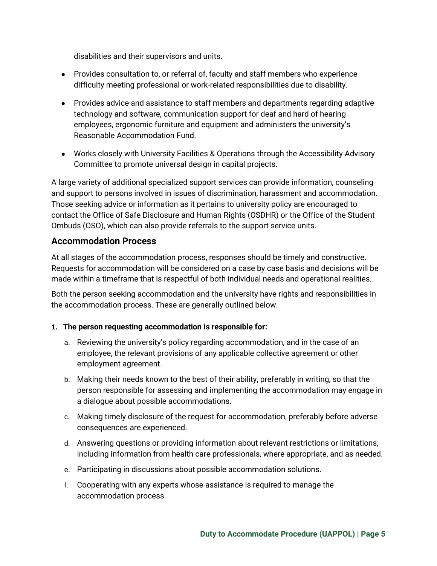disabilities and their supervisors and units.

- Provides consultation to, or referral of, faculty and staff members who experience difficulty meeting professional or work-related responsibilities due to disability.
- Provides advice and assistance to staff members and departments regarding adaptive technology and software, communication support for deaf and hard of hearing employees, ergonomic furniture and equipment and administers the university's Reasonable Accommodation Fund.
- Works closely with University Facilities & Operations through the Accessibility Advisory Committee to promote universal design in capital projects.

A large variety of additional specialized support services can provide information, counseling and support to persons involved in issues of discrimination, harassment and accommodation. Those seeking advice or information as it pertains to university policy are encouraged to contact the Office of Safe Disclosure and Human Rights (OSDHR) or the Office of the Student Ombuds (OSO), which can also provide referrals to the support service units.

### **Accommodation Process**

At all stages of the accommodation process, responses should be timely and constructive. Requests for accommodation will be considered on a case by case basis and decisions will be made within a timeframe that is respectful of both individual needs and operational realities.

Both the person seeking accommodation and the university have rights and responsibilities in the accommodation process. These are generally outlined below.

#### **1. The person requesting accommodation is responsible for:**

- a. Reviewing the university's policy regarding accommodation, and in the case of an employee, the relevant provisions of any applicable collective agreement or other employment agreement.
- b. Making their needs known to the best of their ability, preferably in writing, so that the person responsible for assessing and implementing the accommodation may engage in a dialogue about possible accommodations.
- c. Making timely disclosure of the request for accommodation, preferably before adverse consequences are experienced.
- d. Answering questions or providing information about relevant restrictions or limitations, including information from health care professionals, where appropriate, and as needed.
- e. Participating in discussions about possible accommodation solutions.
- f. Cooperating with any experts whose assistance is required to manage the accommodation process.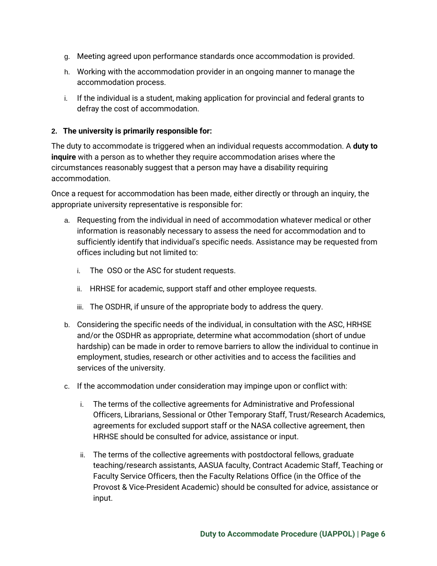- g. Meeting agreed upon performance standards once accommodation is provided.
- h. Working with the accommodation provider in an ongoing manner to manage the accommodation process.
- i. If the individual is a student, making application for provincial and federal grants to defray the cost of accommodation.

#### **2. The university is primarily responsible for:**

The duty to accommodate is triggered when an individual requests accommodation. A **duty to inquire** with a person as to whether they require accommodation arises where the circumstances reasonably suggest that a person may have a disability requiring accommodation.

Once a request for accommodation has been made, either directly or through an inquiry, the appropriate university representative is responsible for:

- a. Requesting from the individual in need of accommodation whatever medical or other information is reasonably necessary to assess the need for accommodation and to sufficiently identify that individual's specific needs. Assistance may be requested from offices including but not limited to:
	- i. The OSO or the ASC for student requests.
	- ii. HRHSE for academic, support staff and other employee requests.
	- iii. The OSDHR, if unsure of the appropriate body to address the query.
- b. Considering the specific needs of the individual, in consultation with the ASC, HRHSE and/or the OSDHR as appropriate, determine what accommodation (short of undue hardship) can be made in order to remove barriers to allow the individual to continue in employment, studies, research or other activities and to access the facilities and services of the university.
- c. If the accommodation under consideration may impinge upon or conflict with:
	- i. The terms of the collective agreements for Administrative and Professional Officers, Librarians, Sessional or Other Temporary Staff, Trust/Research Academics, agreements for excluded support staff or the NASA collective agreement, then HRHSE should be consulted for advice, assistance or input.
	- ii. The terms of the collective agreements with postdoctoral fellows, graduate teaching/research assistants, AASUA faculty, Contract Academic Staff, Teaching or Faculty Service Officers, then the Faculty Relations Office (in the Office of the Provost & Vice-President Academic) should be consulted for advice, assistance or input.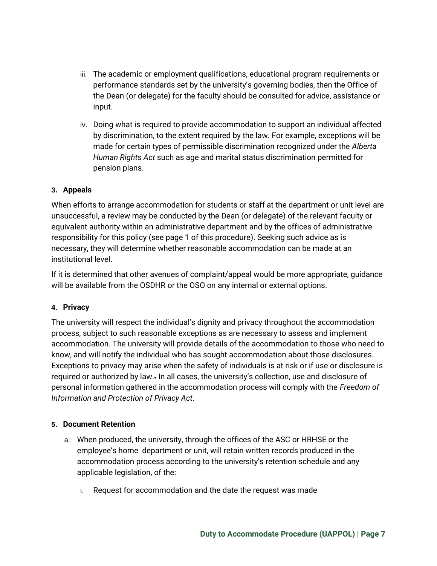- iii. The academic or employment qualifications, educational program requirements or performance standards set by the university's governing bodies, then the Office of the Dean (or delegate) for the faculty should be consulted for advice, assistance or input.
- iv. Doing what is required to provide accommodation to support an individual affected by discrimination, to the extent required by the law. For example, exceptions will be made for certain types of permissible discrimination recognized under the *Alberta Human Rights Act* such as age and marital status discrimination permitted for pension plans.

#### **3. Appeals**

When efforts to arrange accommodation for students or staff at the department or unit level are unsuccessful, a review may be conducted by the Dean (or delegate) of the relevant faculty or equivalent authority within an administrative department and by the offices of administrative responsibility for this policy (see page 1 of this procedure). Seeking such advice as is necessary, they will determine whether reasonable accommodation can be made at an institutional level.

If it is determined that other avenues of complaint/appeal would be more appropriate, guidance will be available from the OSDHR or the OSO on any internal or external options.

#### **4. Privacy**

The university will respect the individual's dignity and privacy throughout the accommodation process, subject to such reasonable exceptions as are necessary to assess and implement accommodation. The university will provide details of the accommodation to those who need to know, and will notify the individual who has sought accommodation about those disclosures. Exceptions to privacy may arise when the safety of individuals is at risk or if use or disclosure is required or authorized by law.. In all cases, the university's collection, use and disclosure of personal information gathered in the accommodation process will comply with the *Freedom of Information and Protection of Privacy Act*.

#### **5. Document Retention**

- a. When produced, the university, through the offices of the ASC or HRHSE or the employee's home department or unit, will retain written records produced in the accommodation process according to the university's retention schedule and any applicable legislation, of the:
	- i. Request for accommodation and the date the request was made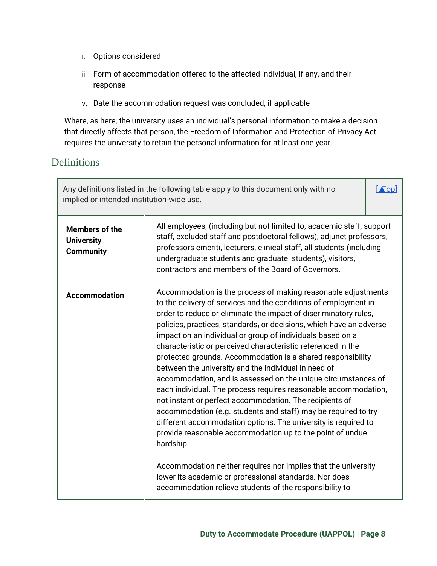- ii. Options considered
- iii. Form of accommodation offered to the affected individual, if any, and their response
- iv. Date the accommodation request was concluded, if applicable

Where, as here, the university uses an individual's personal information to make a decision that directly affects that person, the Freedom of Information and Protection of Privacy Act requires the university to retain the personal information for at least one year.

# Definitions

| implied or intended institution-wide use.                      | Any definitions listed in the following table apply to this document only with no                                                                                                                                                                                                                                                                                                                                                                                                                                                                                                                                                                                                                                                                                                                                                                                                                                                                                                                                                                                                                                                    | $\blacksquare$ |
|----------------------------------------------------------------|--------------------------------------------------------------------------------------------------------------------------------------------------------------------------------------------------------------------------------------------------------------------------------------------------------------------------------------------------------------------------------------------------------------------------------------------------------------------------------------------------------------------------------------------------------------------------------------------------------------------------------------------------------------------------------------------------------------------------------------------------------------------------------------------------------------------------------------------------------------------------------------------------------------------------------------------------------------------------------------------------------------------------------------------------------------------------------------------------------------------------------------|----------------|
| <b>Members of the</b><br><b>University</b><br><b>Community</b> | All employees, (including but not limited to, academic staff, support<br>staff, excluded staff and postdoctoral fellows), adjunct professors,<br>professors emeriti, lecturers, clinical staff, all students (including<br>undergraduate students and graduate students), visitors,<br>contractors and members of the Board of Governors.                                                                                                                                                                                                                                                                                                                                                                                                                                                                                                                                                                                                                                                                                                                                                                                            |                |
| <b>Accommodation</b>                                           | Accommodation is the process of making reasonable adjustments<br>to the delivery of services and the conditions of employment in<br>order to reduce or eliminate the impact of discriminatory rules,<br>policies, practices, standards, or decisions, which have an adverse<br>impact on an individual or group of individuals based on a<br>characteristic or perceived characteristic referenced in the<br>protected grounds. Accommodation is a shared responsibility<br>between the university and the individual in need of<br>accommodation, and is assessed on the unique circumstances of<br>each individual. The process requires reasonable accommodation,<br>not instant or perfect accommodation. The recipients of<br>accommodation (e.g. students and staff) may be required to try<br>different accommodation options. The university is required to<br>provide reasonable accommodation up to the point of undue<br>hardship.<br>Accommodation neither requires nor implies that the university<br>lower its academic or professional standards. Nor does<br>accommodation relieve students of the responsibility to |                |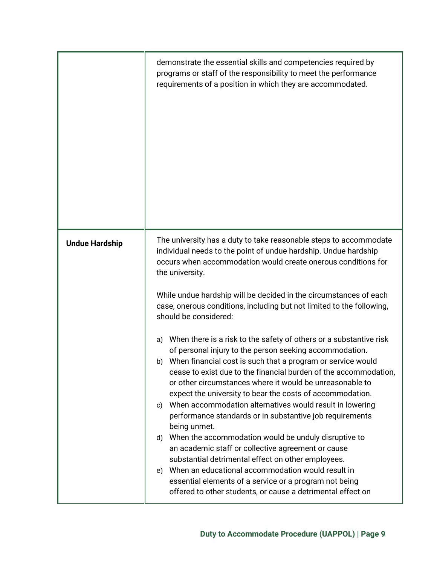|                       | demonstrate the essential skills and competencies required by<br>programs or staff of the responsibility to meet the performance<br>requirements of a position in which they are accommodated.                                                                                                                                                                                                                                                                                                                                                                                                                                                                                                                                                                                                                                                                                                                                                                                                                                                                                                                                                                                                                                                                                                                       |
|-----------------------|----------------------------------------------------------------------------------------------------------------------------------------------------------------------------------------------------------------------------------------------------------------------------------------------------------------------------------------------------------------------------------------------------------------------------------------------------------------------------------------------------------------------------------------------------------------------------------------------------------------------------------------------------------------------------------------------------------------------------------------------------------------------------------------------------------------------------------------------------------------------------------------------------------------------------------------------------------------------------------------------------------------------------------------------------------------------------------------------------------------------------------------------------------------------------------------------------------------------------------------------------------------------------------------------------------------------|
| <b>Undue Hardship</b> | The university has a duty to take reasonable steps to accommodate<br>individual needs to the point of undue hardship. Undue hardship<br>occurs when accommodation would create onerous conditions for<br>the university.<br>While undue hardship will be decided in the circumstances of each<br>case, onerous conditions, including but not limited to the following,<br>should be considered:<br>When there is a risk to the safety of others or a substantive risk<br>a)<br>of personal injury to the person seeking accommodation.<br>When financial cost is such that a program or service would<br>b)<br>cease to exist due to the financial burden of the accommodation,<br>or other circumstances where it would be unreasonable to<br>expect the university to bear the costs of accommodation.<br>When accommodation alternatives would result in lowering<br>C)<br>performance standards or in substantive job requirements<br>being unmet.<br>When the accommodation would be unduly disruptive to<br>d)<br>an academic staff or collective agreement or cause<br>substantial detrimental effect on other employees.<br>When an educational accommodation would result in<br>e)<br>essential elements of a service or a program not being<br>offered to other students, or cause a detrimental effect on |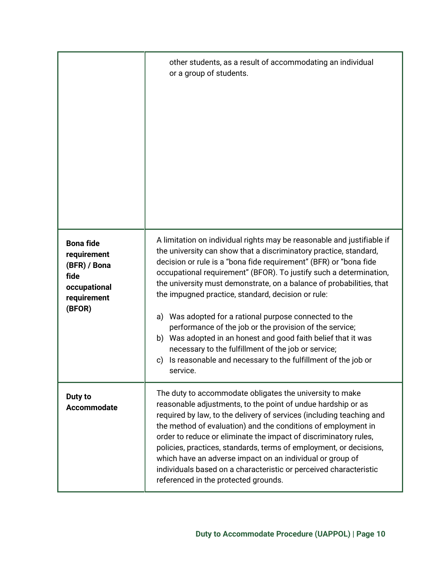|                                                                                                  | other students, as a result of accommodating an individual<br>or a group of students.                                                                                                                                                                                                                                                                                                                                                                                                                                                                                                                                                                                                                                                                     |
|--------------------------------------------------------------------------------------------------|-----------------------------------------------------------------------------------------------------------------------------------------------------------------------------------------------------------------------------------------------------------------------------------------------------------------------------------------------------------------------------------------------------------------------------------------------------------------------------------------------------------------------------------------------------------------------------------------------------------------------------------------------------------------------------------------------------------------------------------------------------------|
| <b>Bona fide</b><br>requirement<br>(BFR) / Bona<br>fide<br>occupational<br>requirement<br>(BFOR) | A limitation on individual rights may be reasonable and justifiable if<br>the university can show that a discriminatory practice, standard,<br>decision or rule is a "bona fide requirement" (BFR) or "bona fide<br>occupational requirement" (BFOR). To justify such a determination,<br>the university must demonstrate, on a balance of probabilities, that<br>the impugned practice, standard, decision or rule:<br>Was adopted for a rational purpose connected to the<br>a)<br>performance of the job or the provision of the service;<br>Was adopted in an honest and good faith belief that it was<br>b)<br>necessary to the fulfillment of the job or service;<br>Is reasonable and necessary to the fulfillment of the job or<br>c)<br>service. |
| Duty to<br><b>Accommodate</b>                                                                    | The duty to accommodate obligates the university to make<br>reasonable adjustments, to the point of undue hardship or as<br>required by law, to the delivery of services (including teaching and<br>the method of evaluation) and the conditions of employment in<br>order to reduce or eliminate the impact of discriminatory rules,<br>policies, practices, standards, terms of employment, or decisions,<br>which have an adverse impact on an individual or group of<br>individuals based on a characteristic or perceived characteristic<br>referenced in the protected grounds.                                                                                                                                                                     |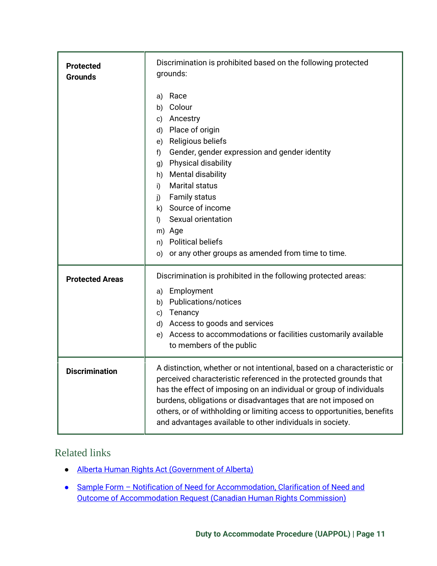| <b>Protected</b><br><b>Grounds</b> | Discrimination is prohibited based on the following protected<br>grounds:<br>Race<br>a)<br>Colour<br>b)<br>Ancestry<br>C)<br>Place of origin<br>d)<br>Religious beliefs<br>e)<br>Gender, gender expression and gender identity<br>f)<br><b>Physical disability</b><br>g)<br><b>Mental disability</b><br>h)<br>Marital status<br>i)<br><b>Family status</b><br>j)<br>Source of income<br>k)<br>Sexual orientation<br>$\vert$<br>m) Age<br><b>Political beliefs</b><br>n)<br>or any other groups as amended from time to time.<br>O) |
|------------------------------------|------------------------------------------------------------------------------------------------------------------------------------------------------------------------------------------------------------------------------------------------------------------------------------------------------------------------------------------------------------------------------------------------------------------------------------------------------------------------------------------------------------------------------------|
| <b>Protected Areas</b>             | Discrimination is prohibited in the following protected areas:<br>Employment<br>a)<br><b>Publications/notices</b><br>b)<br>Tenancy<br>c)<br>Access to goods and services<br>d)<br>Access to accommodations or facilities customarily available<br>e)<br>to members of the public                                                                                                                                                                                                                                                   |
| <b>Discrimination</b>              | A distinction, whether or not intentional, based on a characteristic or<br>perceived characteristic referenced in the protected grounds that<br>has the effect of imposing on an individual or group of individuals<br>burdens, obligations or disadvantages that are not imposed on<br>others, or of withholding or limiting access to opportunities, benefits<br>and advantages available to other individuals in society.                                                                                                       |

# Related links

- [Alberta Human Rights Act \(Government of Alberta\)](http://www.qp.alberta.ca/documents/Acts/A25P5.pdf)
- Sample Form Notification of Need for Accommodation, Clarification of Need and [Outcome of Accommodation](https://www.chrc-ccdp.ca/sites/default/files/accommodation_works_application_manual_format.pdf) [Request \(Canadian Human Rights Commission\)](https://www.chrc-ccdp.ca/sites/default/files/accommodation_works_application_manual_format.pdf)